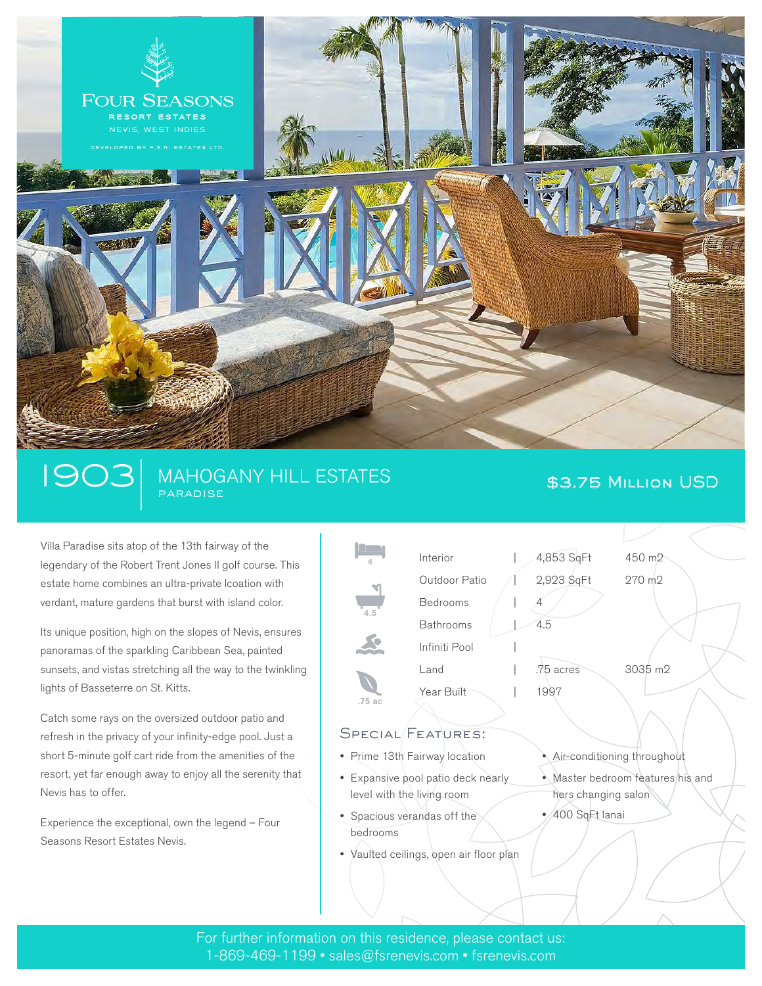

## 1903 | MAHOGANY HILL ESTATES **\$3.75 Million USD PARADISE**

Villa Paradise sits atop of the 13th fairway of the legendary of the Robert Trent Jones II golf course. This estate home combines an ultra-private lcoation with verdant, mature gardens that burst with island color.

Its unique position, high on the slopes of Nevis, ensures panoramas of the sparkling Caribbean Sea, painted sunsets, and vistas stretching all the way to the twinkling lights of Basseterre on St. Kitts.

Catch some rays on the oversized outdoor patio and refresh in the privacy of your infinity-edge pool. Just a short 5-minute golf cart ride from the amenities of the resort, yet far enough away to enjoy all the serenity that Nevis has to offer.

Experience the exceptional, own the legend – Four Seasons Resort Estates Nevis.



# SPECIAL FEATURES:

- Prime 13th Fairway location
- Expansive pool patio deck nearly level with the living room
- Spacious verandas off the bedrooms
- Vaulted ceilings, open air floor plan
- Air-conditioning throughout
- Master bedroom features his and hers changing salon
- 400 SqFt lanai

For further information on this residence, please contact us: 1-869-469-1199 • sales@fsrenevis.com • fsrenevis.com